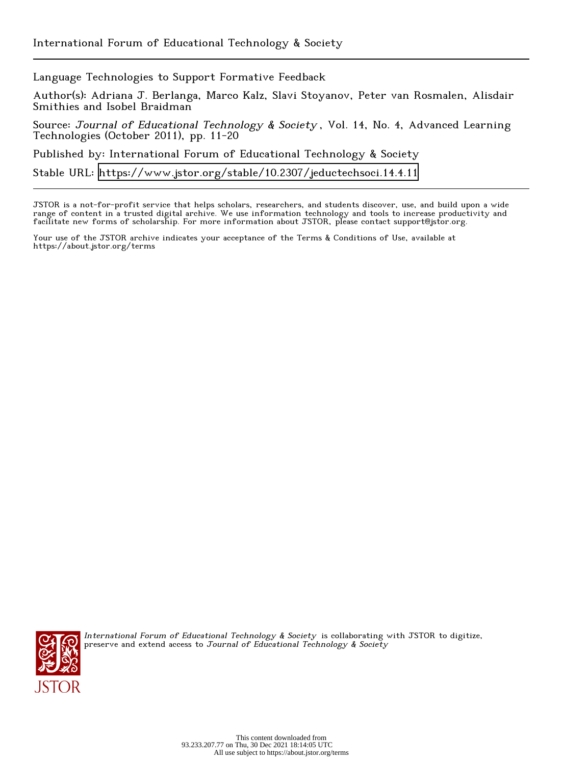Language Technologies to Support Formative Feedback

Author(s): Adriana J. Berlanga, Marco Kalz, Slavi Stoyanov, Peter van Rosmalen, Alisdair Smithies and Isobel Braidman

Source: Journal of Educational Technology & Society, Vol. 14, No. 4, Advanced Learning Technologies (October 2011), pp. 11-20

Published by: International Forum of Educational Technology & Society

Stable URL:<https://www.jstor.org/stable/10.2307/jeductechsoci.14.4.11>

JSTOR is a not-for-profit service that helps scholars, researchers, and students discover, use, and build upon a wide range of content in a trusted digital archive. We use information technology and tools to increase productivity and facilitate new forms of scholarship. For more information about JSTOR, please contact support@jstor.org.

Your use of the JSTOR archive indicates your acceptance of the Terms & Conditions of Use, available at https://about.jstor.org/terms



International Forum of Educational Technology & Society is collaborating with JSTOR to digitize, preserve and extend access to Journal of Educational Technology & Society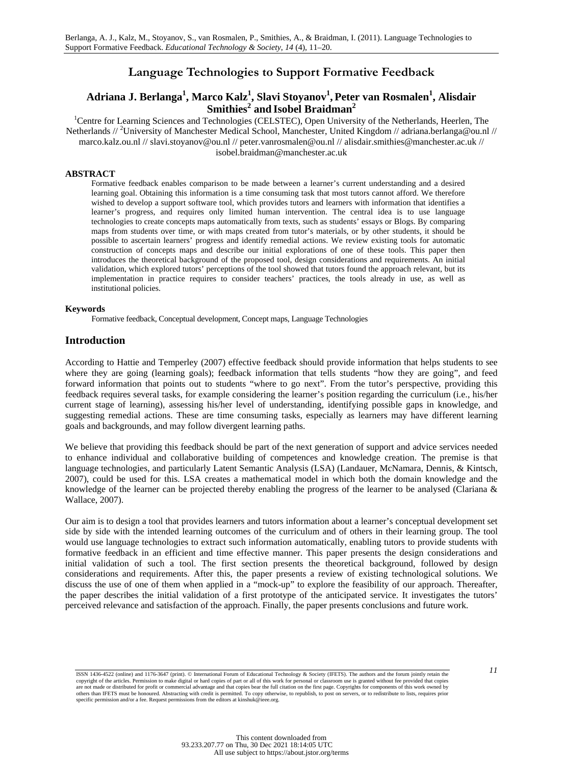# **Language Technologies to Support Formative Feedback**

# **Adriana J. Berlanga1 , Marco Kalz1 , Slavi Stoyanov1 , Peter van Rosmalen<sup>1</sup> , Alisdair Smithies<sup>2</sup> and Isobel Braidman2**

<sup>1</sup>Centre for Learning Sciences and Technologies (CELSTEC), Open University of the Netherlands, Heerlen, The Netherlands // <sup>2</sup>University of Manchester Medical School, Manchester, United Kingdom // adriana.berlanga@ou.nl // marco.kalz.ou.nl // slavi.stoyanov@ou.nl // peter.vanrosmalen@ou.nl // alisdair.smithies@manchester.ac.uk // isobel.braidman@manchester.ac.uk

#### **ABSTRACT**

Formative feedback enables comparison to be made between a learner's current understanding and a desired learning goal. Obtaining this information is a time consuming task that most tutors cannot afford. We therefore wished to develop a support software tool, which provides tutors and learners with information that identifies a learner's progress, and requires only limited human intervention. The central idea is to use language technologies to create concepts maps automatically from texts, such as students' essays or Blogs. By comparing maps from students over time, or with maps created from tutor's materials, or by other students, it should be possible to ascertain learners' progress and identify remedial actions. We review existing tools for automatic construction of concepts maps and describe our initial explorations of one of these tools. This paper then introduces the theoretical background of the proposed tool, design considerations and requirements. An initial validation, which explored tutors' perceptions of the tool showed that tutors found the approach relevant, but its implementation in practice requires to consider teachers' practices, the tools already in use, as well as institutional policies.

#### **Keywords**

Formative feedback, Conceptual development, Concept maps, Language Technologies

#### **Introduction**

According to Hattie and Temperley (2007) effective feedback should provide information that helps students to see where they are going (learning goals); feedback information that tells students "how they are going", and feed forward information that points out to students "where to go next". From the tutor's perspective, providing this feedback requires several tasks, for example considering the learner's position regarding the curriculum (i.e., his/her current stage of learning), assessing his/her level of understanding, identifying possible gaps in knowledge, and suggesting remedial actions. These are time consuming tasks, especially as learners may have different learning goals and backgrounds, and may follow divergent learning paths.

We believe that providing this feedback should be part of the next generation of support and advice services needed to enhance individual and collaborative building of competences and knowledge creation. The premise is that language technologies, and particularly Latent Semantic Analysis (LSA) (Landauer, McNamara, Dennis, & Kintsch, 2007), could be used for this. LSA creates a mathematical model in which both the domain knowledge and the knowledge of the learner can be projected thereby enabling the progress of the learner to be analysed (Clariana  $\&$ Wallace, 2007).

Our aim is to design a tool that provides learners and tutors information about a learner's conceptual development set side by side with the intended learning outcomes of the curriculum and of others in their learning group. The tool would use language technologies to extract such information automatically, enabling tutors to provide students with formative feedback in an efficient and time effective manner. This paper presents the design considerations and initial validation of such a tool. The first section presents the theoretical background, followed by design considerations and requirements. After this, the paper presents a review of existing technological solutions. We discuss the use of one of them when applied in a "mock-up" to explore the feasibility of our approach. Thereafter, the paper describes the initial validation of a first prototype of the anticipated service. It investigates the tutors' perceived relevance and satisfaction of the approach. Finally, the paper presents conclusions and future work.

*<sup>11</sup>* ISSN 1436-4522 (online) and 1176-3647 (print). © International Forum of Educational Technology & Society (IFETS). The authors and the forum jointly retain the copyright of the articles. Permission to make digital or hard copies of part or all of this work for personal or classroom use is granted without fee provided that copies<br>are not made or distributed for profit or commercia specific permission and/or a fee. Request permissions from the editors at kinshuk@ieee.org.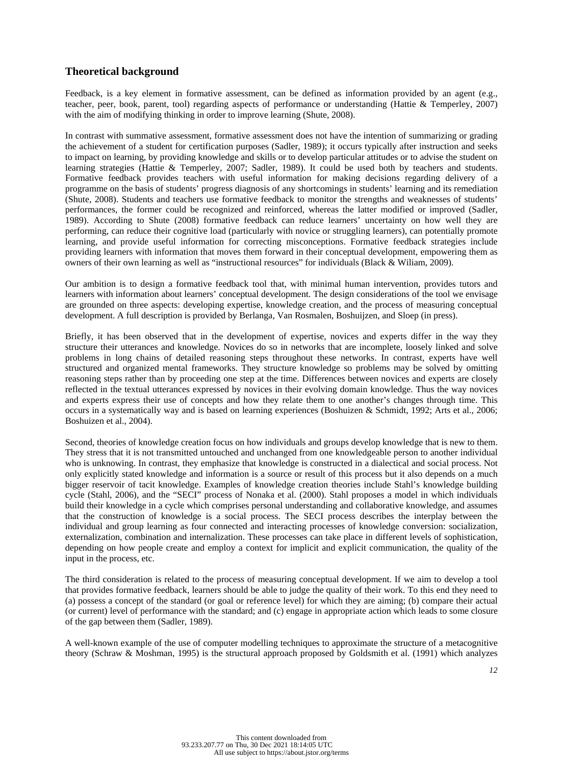# **Theoretical background**

Feedback, is a key element in formative assessment, can be defined as information provided by an agent (e.g., teacher, peer, book, parent, tool) regarding aspects of performance or understanding (Hattie & Temperley, 2007) with the aim of modifying thinking in order to improve learning (Shute, 2008).

In contrast with summative assessment, formative assessment does not have the intention of summarizing or grading the achievement of a student for certification purposes (Sadler, 1989); it occurs typically after instruction and seeks to impact on learning, by providing knowledge and skills or to develop particular attitudes or to advise the student on learning strategies (Hattie & Temperley, 2007; Sadler, 1989). It could be used both by teachers and students. Formative feedback provides teachers with useful information for making decisions regarding delivery of a programme on the basis of students' progress diagnosis of any shortcomings in students' learning and its remediation (Shute, 2008). Students and teachers use formative feedback to monitor the strengths and weaknesses of students' performances, the former could be recognized and reinforced, whereas the latter modified or improved (Sadler, 1989). According to Shute (2008) formative feedback can reduce learners' uncertainty on how well they are performing, can reduce their cognitive load (particularly with novice or struggling learners), can potentially promote learning, and provide useful information for correcting misconceptions. Formative feedback strategies include providing learners with information that moves them forward in their conceptual development, empowering them as owners of their own learning as well as "instructional resources" for individuals (Black & Wiliam, 2009).

Our ambition is to design a formative feedback tool that, with minimal human intervention, provides tutors and learners with information about learners' conceptual development. The design considerations of the tool we envisage are grounded on three aspects: developing expertise, knowledge creation, and the process of measuring conceptual development. A full description is provided by Berlanga, Van Rosmalen, Boshuijzen, and Sloep (in press).

Briefly, it has been observed that in the development of expertise, novices and experts differ in the way they structure their utterances and knowledge. Novices do so in networks that are incomplete, loosely linked and solve problems in long chains of detailed reasoning steps throughout these networks. In contrast, experts have well structured and organized mental frameworks. They structure knowledge so problems may be solved by omitting reasoning steps rather than by proceeding one step at the time. Differences between novices and experts are closely reflected in the textual utterances expressed by novices in their evolving domain knowledge. Thus the way novices and experts express their use of concepts and how they relate them to one another's changes through time. This occurs in a systematically way and is based on learning experiences (Boshuizen & Schmidt, 1992; Arts et al., 2006; Boshuizen et al., 2004).

Second, theories of knowledge creation focus on how individuals and groups develop knowledge that is new to them. They stress that it is not transmitted untouched and unchanged from one knowledgeable person to another individual who is unknowing. In contrast, they emphasize that knowledge is constructed in a dialectical and social process. Not only explicitly stated knowledge and information is a source or result of this process but it also depends on a much bigger reservoir of tacit knowledge. Examples of knowledge creation theories include Stahl's knowledge building cycle (Stahl, 2006), and the "SECI" process of Nonaka et al. (2000). Stahl proposes a model in which individuals build their knowledge in a cycle which comprises personal understanding and collaborative knowledge, and assumes that the construction of knowledge is a social process. The SECI process describes the interplay between the individual and group learning as four connected and interacting processes of knowledge conversion: socialization, externalization, combination and internalization. These processes can take place in different levels of sophistication, depending on how people create and employ a context for implicit and explicit communication, the quality of the input in the process, etc.

The third consideration is related to the process of measuring conceptual development. If we aim to develop a tool that provides formative feedback, learners should be able to judge the quality of their work. To this end they need to (a) possess a concept of the standard (or goal or reference level) for which they are aiming; (b) compare their actual (or current) level of performance with the standard; and (c) engage in appropriate action which leads to some closure of the gap between them (Sadler, 1989).

A well-known example of the use of computer modelling techniques to approximate the structure of a metacognitive theory (Schraw & Moshman, 1995) is the structural approach proposed by Goldsmith et al. (1991) which analyzes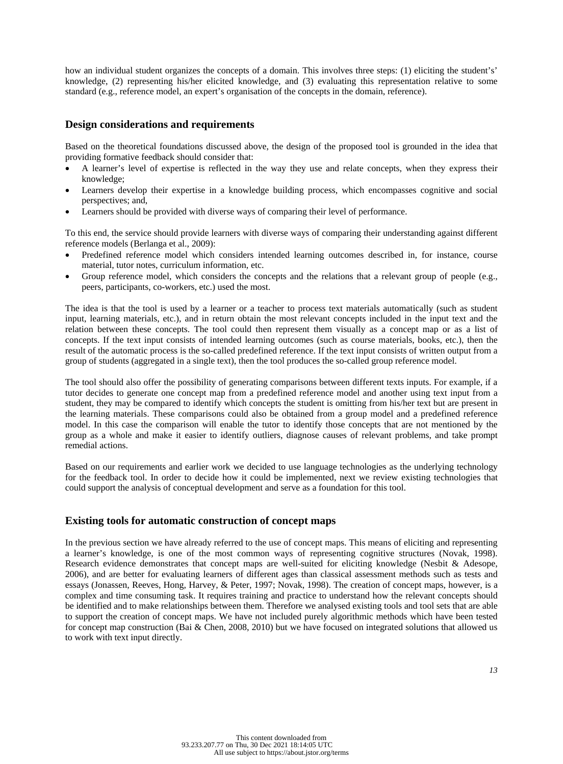how an individual student organizes the concepts of a domain. This involves three steps: (1) eliciting the student's' knowledge, (2) representing his/her elicited knowledge, and (3) evaluating this representation relative to some standard (e.g., reference model, an expert's organisation of the concepts in the domain, reference).

## **Design considerations and requirements**

Based on the theoretical foundations discussed above, the design of the proposed tool is grounded in the idea that providing formative feedback should consider that:

- A learner's level of expertise is reflected in the way they use and relate concepts, when they express their knowledge;
- Learners develop their expertise in a knowledge building process, which encompasses cognitive and social perspectives; and,
- Learners should be provided with diverse ways of comparing their level of performance.

To this end, the service should provide learners with diverse ways of comparing their understanding against different reference models (Berlanga et al., 2009):

- Predefined reference model which considers intended learning outcomes described in, for instance, course material, tutor notes, curriculum information, etc.
- Group reference model, which considers the concepts and the relations that a relevant group of people (e.g., peers, participants, co-workers, etc.) used the most.

The idea is that the tool is used by a learner or a teacher to process text materials automatically (such as student input, learning materials, etc.), and in return obtain the most relevant concepts included in the input text and the relation between these concepts. The tool could then represent them visually as a concept map or as a list of concepts. If the text input consists of intended learning outcomes (such as course materials, books, etc.), then the result of the automatic process is the so-called predefined reference. If the text input consists of written output from a group of students (aggregated in a single text), then the tool produces the so-called group reference model.

The tool should also offer the possibility of generating comparisons between different texts inputs. For example, if a tutor decides to generate one concept map from a predefined reference model and another using text input from a student, they may be compared to identify which concepts the student is omitting from his/her text but are present in the learning materials. These comparisons could also be obtained from a group model and a predefined reference model. In this case the comparison will enable the tutor to identify those concepts that are not mentioned by the group as a whole and make it easier to identify outliers, diagnose causes of relevant problems, and take prompt remedial actions.

Based on our requirements and earlier work we decided to use language technologies as the underlying technology for the feedback tool. In order to decide how it could be implemented, next we review existing technologies that could support the analysis of conceptual development and serve as a foundation for this tool.

### **Existing tools for automatic construction of concept maps**

In the previous section we have already referred to the use of concept maps. This means of eliciting and representing a learner's knowledge, is one of the most common ways of representing cognitive structures (Novak, 1998). Research evidence demonstrates that concept maps are well-suited for eliciting knowledge (Nesbit & Adesope, 2006), and are better for evaluating learners of different ages than classical assessment methods such as tests and essays (Jonassen, Reeves, Hong, Harvey, & Peter, 1997; Novak, 1998). The creation of concept maps, however, is a complex and time consuming task. It requires training and practice to understand how the relevant concepts should be identified and to make relationships between them. Therefore we analysed existing tools and tool sets that are able to support the creation of concept maps. We have not included purely algorithmic methods which have been tested for concept map construction (Bai & Chen, 2008, 2010) but we have focused on integrated solutions that allowed us to work with text input directly.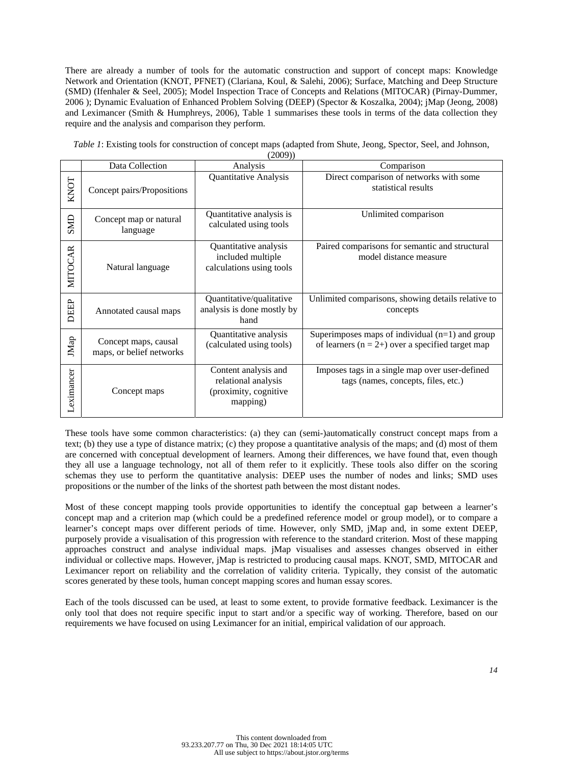There are already a number of tools for the automatic construction and support of concept maps: Knowledge Network and Orientation (KNOT, PFNET) (Clariana, Koul, & Salehi, 2006); Surface, Matching and Deep Structure (SMD) (Ifenhaler & Seel, 2005); Model Inspection Trace of Concepts and Relations (MITOCAR) (Pirnay-Dummer, 2006 ); Dynamic Evaluation of Enhanced Problem Solving (DEEP) (Spector & Koszalka, 2004); jMap (Jeong, 2008) and Leximancer (Smith & Humphreys, 2006), Table 1 summarises these tools in terms of the data collection they require and the analysis and comparison they perform.

*Table 1*: Existing tools for construction of concept maps (adapted from Shute, Jeong, Spector, Seel, and Johnson,

 $(2000)$ 

|            | (2002)                                           |                                                                                  |                                                                                                         |  |  |  |  |  |  |
|------------|--------------------------------------------------|----------------------------------------------------------------------------------|---------------------------------------------------------------------------------------------------------|--|--|--|--|--|--|
|            | Data Collection                                  | Analysis                                                                         | Comparison                                                                                              |  |  |  |  |  |  |
| KNOT       | Concept pairs/Propositions                       | Quantitative Analysis                                                            | Direct comparison of networks with some<br>statistical results                                          |  |  |  |  |  |  |
| SMD        | Concept map or natural<br>language               | Quantitative analysis is<br>calculated using tools                               | Unlimited comparison                                                                                    |  |  |  |  |  |  |
| MITOCAR    | Natural language                                 | Quantitative analysis<br>included multiple<br>calculations using tools           | Paired comparisons for semantic and structural<br>model distance measure                                |  |  |  |  |  |  |
| DEEP       | Annotated causal maps                            | Quantitative/qualitative<br>analysis is done mostly by<br>hand                   | Unlimited comparisons, showing details relative to<br>concepts                                          |  |  |  |  |  |  |
| JMap       | Concept maps, causal<br>maps, or belief networks | Quantitative analysis<br>(calculated using tools)                                | Superimposes maps of individual $(n=1)$ and group<br>of learners $(n = 2+)$ over a specified target map |  |  |  |  |  |  |
| Leximancer | Concept maps                                     | Content analysis and<br>relational analysis<br>(proximity, cognitive<br>mapping) | Imposes tags in a single map over user-defined<br>tags (names, concepts, files, etc.)                   |  |  |  |  |  |  |

These tools have some common characteristics: (a) they can (semi-)automatically construct concept maps from a text; (b) they use a type of distance matrix; (c) they propose a quantitative analysis of the maps; and (d) most of them are concerned with conceptual development of learners. Among their differences, we have found that, even though they all use a language technology, not all of them refer to it explicitly. These tools also differ on the scoring schemas they use to perform the quantitative analysis: DEEP uses the number of nodes and links; SMD uses propositions or the number of the links of the shortest path between the most distant nodes.

Most of these concept mapping tools provide opportunities to identify the conceptual gap between a learner's concept map and a criterion map (which could be a predefined reference model or group model), or to compare a learner's concept maps over different periods of time. However, only SMD, jMap and, in some extent DEEP, purposely provide a visualisation of this progression with reference to the standard criterion. Most of these mapping approaches construct and analyse individual maps. jMap visualises and assesses changes observed in either individual or collective maps. However, jMap is restricted to producing causal maps. KNOT, SMD, MITOCAR and Leximancer report on reliability and the correlation of validity criteria. Typically, they consist of the automatic scores generated by these tools, human concept mapping scores and human essay scores.

Each of the tools discussed can be used, at least to some extent, to provide formative feedback. Leximancer is the only tool that does not require specific input to start and/or a specific way of working. Therefore, based on our requirements we have focused on using Leximancer for an initial, empirical validation of our approach.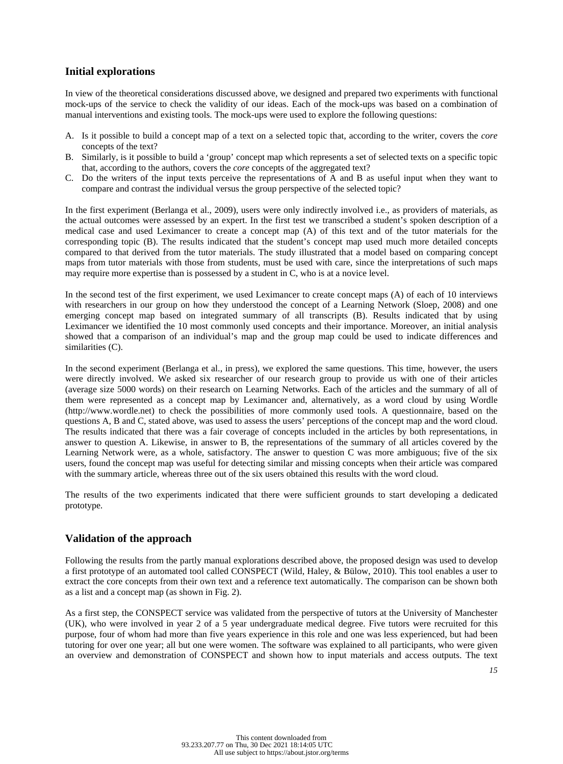## **Initial explorations**

In view of the theoretical considerations discussed above, we designed and prepared two experiments with functional mock-ups of the service to check the validity of our ideas. Each of the mock-ups was based on a combination of manual interventions and existing tools. The mock-ups were used to explore the following questions:

- A. Is it possible to build a concept map of a text on a selected topic that, according to the writer, covers the *core* concepts of the text?
- B. Similarly, is it possible to build a 'group' concept map which represents a set of selected texts on a specific topic that, according to the authors, covers the *core* concepts of the aggregated text?
- C. Do the writers of the input texts perceive the representations of A and B as useful input when they want to compare and contrast the individual versus the group perspective of the selected topic?

In the first experiment (Berlanga et al., 2009), users were only indirectly involved i.e., as providers of materials, as the actual outcomes were assessed by an expert. In the first test we transcribed a student's spoken description of a medical case and used Leximancer to create a concept map (A) of this text and of the tutor materials for the corresponding topic (B). The results indicated that the student's concept map used much more detailed concepts compared to that derived from the tutor materials. The study illustrated that a model based on comparing concept maps from tutor materials with those from students, must be used with care, since the interpretations of such maps may require more expertise than is possessed by a student in C, who is at a novice level.

In the second test of the first experiment, we used Leximancer to create concept maps (A) of each of 10 interviews with researchers in our group on how they understood the concept of a Learning Network (Sloep, 2008) and one emerging concept map based on integrated summary of all transcripts (B). Results indicated that by using Leximancer we identified the 10 most commonly used concepts and their importance. Moreover, an initial analysis showed that a comparison of an individual's map and the group map could be used to indicate differences and similarities (C).

In the second experiment (Berlanga et al., in press), we explored the same questions. This time, however, the users were directly involved. We asked six researcher of our research group to provide us with one of their articles (average size 5000 words) on their research on Learning Networks. Each of the articles and the summary of all of them were represented as a concept map by Leximancer and, alternatively, as a word cloud by using Wordle (http://www.wordle.net) to check the possibilities of more commonly used tools. A questionnaire, based on the questions A, B and C, stated above, was used to assess the users' perceptions of the concept map and the word cloud. The results indicated that there was a fair coverage of concepts included in the articles by both representations, in answer to question A. Likewise, in answer to B, the representations of the summary of all articles covered by the Learning Network were, as a whole, satisfactory. The answer to question C was more ambiguous; five of the six users, found the concept map was useful for detecting similar and missing concepts when their article was compared with the summary article, whereas three out of the six users obtained this results with the word cloud.

The results of the two experiments indicated that there were sufficient grounds to start developing a dedicated prototype.

# **Validation of the approach**

Following the results from the partly manual explorations described above, the proposed design was used to develop a first prototype of an automated tool called CONSPECT (Wild, Haley, & Bülow, 2010). This tool enables a user to extract the core concepts from their own text and a reference text automatically. The comparison can be shown both as a list and a concept map (as shown in Fig. 2).

As a first step, the CONSPECT service was validated from the perspective of tutors at the University of Manchester (UK), who were involved in year 2 of a 5 year undergraduate medical degree. Five tutors were recruited for this purpose, four of whom had more than five years experience in this role and one was less experienced, but had been tutoring for over one year; all but one were women. The software was explained to all participants, who were given an overview and demonstration of CONSPECT and shown how to input materials and access outputs. The text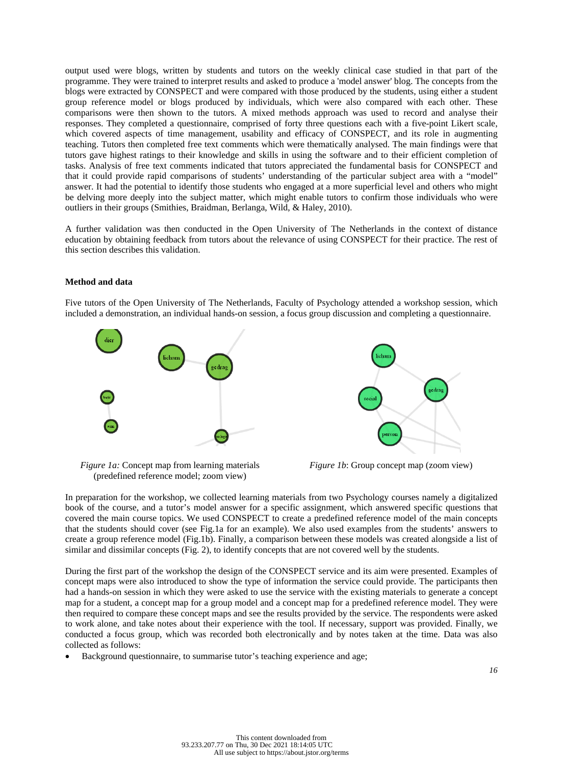output used were blogs, written by students and tutors on the weekly clinical case studied in that part of the programme. They were trained to interpret results and asked to produce a 'model answer' blog. The concepts from the blogs were extracted by CONSPECT and were compared with those produced by the students, using either a student group reference model or blogs produced by individuals, which were also compared with each other. These comparisons were then shown to the tutors. A mixed methods approach was used to record and analyse their responses. They completed a questionnaire, comprised of forty three questions each with a five-point Likert scale, which covered aspects of time management, usability and efficacy of CONSPECT, and its role in augmenting teaching. Tutors then completed free text comments which were thematically analysed. The main findings were that tutors gave highest ratings to their knowledge and skills in using the software and to their efficient completion of tasks. Analysis of free text comments indicated that tutors appreciated the fundamental basis for CONSPECT and that it could provide rapid comparisons of students' understanding of the particular subject area with a "model" answer. It had the potential to identify those students who engaged at a more superficial level and others who might be delving more deeply into the subject matter, which might enable tutors to confirm those individuals who were outliers in their groups (Smithies, Braidman, Berlanga, Wild, & Haley, 2010).

A further validation was then conducted in the Open University of The Netherlands in the context of distance education by obtaining feedback from tutors about the relevance of using CONSPECT for their practice. The rest of this section describes this validation.

#### **Method and data**

Five tutors of the Open University of The Netherlands, Faculty of Psychology attended a workshop session, which included a demonstration, an individual hands-on session, a focus group discussion and completing a questionnaire.



*Figure 1a:* Concept map from learning materials (predefined reference model; zoom view)



*Figure 1b:* Group concept map (zoom view)

In preparation for the workshop, we collected learning materials from two Psychology courses namely a digitalized book of the course, and a tutor's model answer for a specific assignment, which answered specific questions that covered the main course topics. We used CONSPECT to create a predefined reference model of the main concepts that the students should cover (see Fig.1a for an example). We also used examples from the students' answers to create a group reference model (Fig.1b). Finally, a comparison between these models was created alongside a list of similar and dissimilar concepts (Fig. 2), to identify concepts that are not covered well by the students.

During the first part of the workshop the design of the CONSPECT service and its aim were presented. Examples of concept maps were also introduced to show the type of information the service could provide. The participants then had a hands-on session in which they were asked to use the service with the existing materials to generate a concept map for a student, a concept map for a group model and a concept map for a predefined reference model. They were then required to compare these concept maps and see the results provided by the service. The respondents were asked to work alone, and take notes about their experience with the tool. If necessary, support was provided. Finally, we conducted a focus group, which was recorded both electronically and by notes taken at the time. Data was also collected as follows:

Background questionnaire, to summarise tutor's teaching experience and age;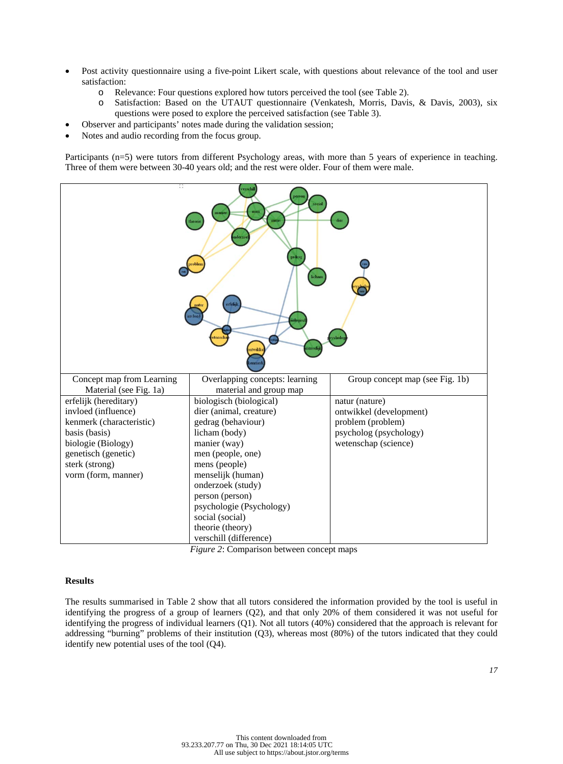- Post activity questionnaire using a five-point Likert scale, with questions about relevance of the tool and user satisfaction:
	- o Relevance: Four questions explored how tutors perceived the tool (see Table 2).
	- o Satisfaction: Based on the UTAUT questionnaire (Venkatesh, Morris, Davis, & Davis, 2003), six questions were posed to explore the perceived satisfaction (see Table 3).
	- Observer and participants' notes made during the validation session;
- Notes and audio recording from the focus group.

Participants (n=5) were tutors from different Psychology areas, with more than 5 years of experience in teaching. Three of them were between 30-40 years old; and the rest were older. Four of them were male.



*Figure 2*: Comparison between concept maps

#### **Results**

The results summarised in Table 2 show that all tutors considered the information provided by the tool is useful in identifying the progress of a group of learners (Q2), and that only 20% of them considered it was not useful for identifying the progress of individual learners (Q1). Not all tutors (40%) considered that the approach is relevant for addressing "burning" problems of their institution (Q3), whereas most (80%) of the tutors indicated that they could identify new potential uses of the tool (Q4).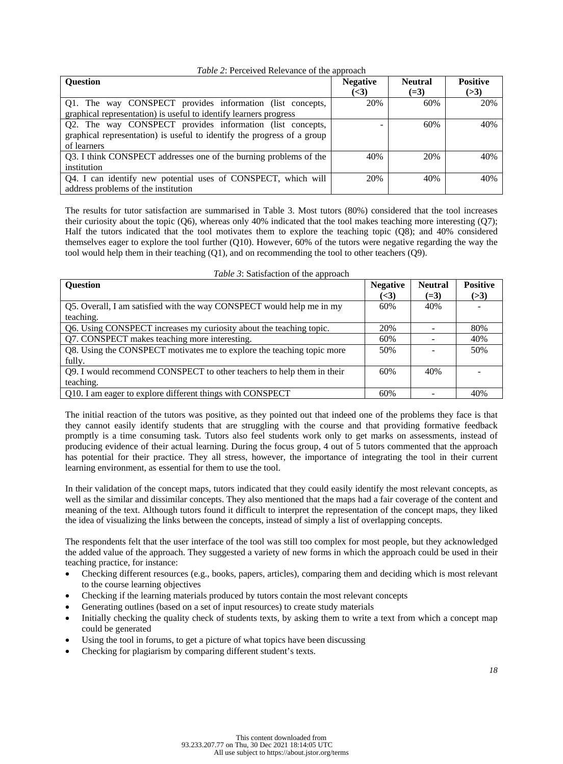#### *Table 2*: Perceived Relevance of the approach

| <b>Ouestion</b>                                                         | <b>Negative</b>    | <b>Neutral</b> | <b>Positive</b> |
|-------------------------------------------------------------------------|--------------------|----------------|-----------------|
|                                                                         | $\left( <3\right)$ | $(=3)$         | (>3)            |
| Q1. The way CONSPECT provides information (list concepts,               | 20%                | 60%            | 20%             |
| graphical representation) is useful to identify learners progress       |                    |                |                 |
| Q2. The way CONSPECT provides information (list concepts,               |                    | 60%            | 40%             |
| graphical representation) is useful to identify the progress of a group |                    |                |                 |
| of learners                                                             |                    |                |                 |
| Q3. I think CONSPECT addresses one of the burning problems of the       | 40%                | 20%            | 40%             |
| institution                                                             |                    |                |                 |
| Q4. I can identify new potential uses of CONSPECT, which will           | 20%                | 40%            | 40%             |
| address problems of the institution                                     |                    |                |                 |

The results for tutor satisfaction are summarised in Table 3. Most tutors (80%) considered that the tool increases their curiosity about the topic  $(Q6)$ , whereas only 40% indicated that the tool makes teaching more interesting  $(Q7)$ ; Half the tutors indicated that the tool motivates them to explore the teaching topic (Q8); and 40% considered themselves eager to explore the tool further (Q10). However, 60% of the tutors were negative regarding the way the tool would help them in their teaching (Q1), and on recommending the tool to other teachers (Q9).

| <b>Ouestion</b>                                                        | <b>Negative</b> | <b>Neutral</b> | <b>Positive</b> |
|------------------------------------------------------------------------|-----------------|----------------|-----------------|
|                                                                        | ( <b>3</b> )    | $(=3)$         | (>3)            |
| Q5. Overall, I am satisfied with the way CONSPECT would help me in my  | 60%             | 40%            |                 |
| teaching.                                                              |                 |                |                 |
| Q6. Using CONSPECT increases my curiosity about the teaching topic.    | 20%             |                | 80%             |
| Q7. CONSPECT makes teaching more interesting.                          | 60%             |                | 40%             |
| Q8. Using the CONSPECT motivates me to explore the teaching topic more | 50%             |                | 50%             |
| fully.                                                                 |                 |                |                 |
| Q9. I would recommend CONSPECT to other teachers to help them in their | 60%             | 40%            |                 |
| teaching.                                                              |                 |                |                 |
| Q10. I am eager to explore different things with CONSPECT              | 60%             |                | 40%             |

*Table 3*: Satisfaction of the approach

The initial reaction of the tutors was positive, as they pointed out that indeed one of the problems they face is that they cannot easily identify students that are struggling with the course and that providing formative feedback promptly is a time consuming task. Tutors also feel students work only to get marks on assessments, instead of producing evidence of their actual learning. During the focus group, 4 out of 5 tutors commented that the approach has potential for their practice. They all stress, however, the importance of integrating the tool in their current learning environment, as essential for them to use the tool.

In their validation of the concept maps, tutors indicated that they could easily identify the most relevant concepts, as well as the similar and dissimilar concepts. They also mentioned that the maps had a fair coverage of the content and meaning of the text. Although tutors found it difficult to interpret the representation of the concept maps, they liked the idea of visualizing the links between the concepts, instead of simply a list of overlapping concepts.

The respondents felt that the user interface of the tool was still too complex for most people, but they acknowledged the added value of the approach. They suggested a variety of new forms in which the approach could be used in their teaching practice, for instance:

- Checking different resources (e.g., books, papers, articles), comparing them and deciding which is most relevant to the course learning objectives
- Checking if the learning materials produced by tutors contain the most relevant concepts
- Generating outlines (based on a set of input resources) to create study materials
- Initially checking the quality check of students texts, by asking them to write a text from which a concept map could be generated
- Using the tool in forums, to get a picture of what topics have been discussing
- Checking for plagiarism by comparing different student's texts.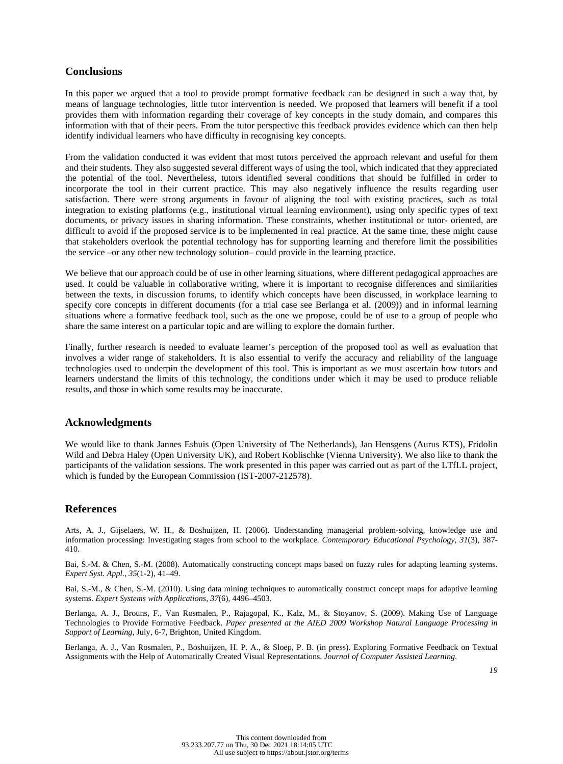## **Conclusions**

In this paper we argued that a tool to provide prompt formative feedback can be designed in such a way that, by means of language technologies, little tutor intervention is needed. We proposed that learners will benefit if a tool provides them with information regarding their coverage of key concepts in the study domain, and compares this information with that of their peers. From the tutor perspective this feedback provides evidence which can then help identify individual learners who have difficulty in recognising key concepts.

From the validation conducted it was evident that most tutors perceived the approach relevant and useful for them and their students. They also suggested several different ways of using the tool, which indicated that they appreciated the potential of the tool. Nevertheless, tutors identified several conditions that should be fulfilled in order to incorporate the tool in their current practice. This may also negatively influence the results regarding user satisfaction. There were strong arguments in favour of aligning the tool with existing practices, such as total integration to existing platforms (e.g., institutional virtual learning environment), using only specific types of text documents, or privacy issues in sharing information. These constraints, whether institutional or tutor- oriented, are difficult to avoid if the proposed service is to be implemented in real practice. At the same time, these might cause that stakeholders overlook the potential technology has for supporting learning and therefore limit the possibilities the service –or any other new technology solution– could provide in the learning practice.

We believe that our approach could be of use in other learning situations, where different pedagogical approaches are used. It could be valuable in collaborative writing, where it is important to recognise differences and similarities between the texts, in discussion forums, to identify which concepts have been discussed, in workplace learning to specify core concepts in different documents (for a trial case see Berlanga et al. (2009)) and in informal learning situations where a formative feedback tool, such as the one we propose, could be of use to a group of people who share the same interest on a particular topic and are willing to explore the domain further.

Finally, further research is needed to evaluate learner's perception of the proposed tool as well as evaluation that involves a wider range of stakeholders. It is also essential to verify the accuracy and reliability of the language technologies used to underpin the development of this tool. This is important as we must ascertain how tutors and learners understand the limits of this technology, the conditions under which it may be used to produce reliable results, and those in which some results may be inaccurate.

#### **Acknowledgments**

We would like to thank Jannes Eshuis (Open University of The Netherlands), Jan Hensgens (Aurus KTS), Fridolin Wild and Debra Haley (Open University UK), and Robert Koblischke (Vienna University). We also like to thank the participants of the validation sessions. The work presented in this paper was carried out as part of the LTfLL project, which is funded by the European Commission (IST-2007-212578).

### **References**

Arts, A. J., Gijselaers, W. H., & Boshuijzen, H. (2006). Understanding managerial problem-solving, knowledge use and information processing: Investigating stages from school to the workplace. *Contemporary Educational Psychology*, *31*(3), 387- 410.

Bai, S.-M. & Chen, S.-M. (2008). Automatically constructing concept maps based on fuzzy rules for adapting learning systems. *Expert Syst. Appl., 35*(1-2), 41–49.

Bai, S.-M., & Chen, S.-M. (2010). Using data mining techniques to automatically construct concept maps for adaptive learning systems. *Expert Systems with Applications, 37*(6), 4496–4503.

Berlanga, A. J., Brouns, F., Van Rosmalen, P., Rajagopal, K., Kalz, M., & Stoyanov, S. (2009). Making Use of Language Technologies to Provide Formative Feedback. *Paper presented at the AIED 2009 Workshop Natural Language Processing in Support of Learning*, July, 6-7, Brighton, United Kingdom.

Berlanga, A. J., Van Rosmalen, P., Boshuijzen, H. P. A., & Sloep, P. B. (in press). Exploring Formative Feedback on Textual Assignments with the Help of Automatically Created Visual Representations. *Journal of Computer Assisted Learning*.

*19*